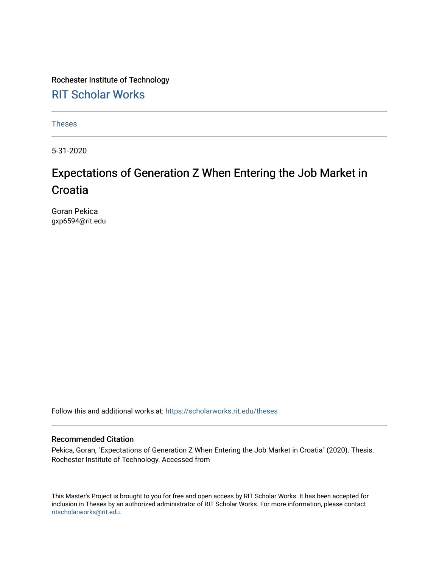Rochester Institute of Technology [RIT Scholar Works](https://scholarworks.rit.edu/)

[Theses](https://scholarworks.rit.edu/theses) 

5-31-2020

## Expectations of Generation Z When Entering the Job Market in **Croatia**

Goran Pekica gxp6594@rit.edu

Follow this and additional works at: [https://scholarworks.rit.edu/theses](https://scholarworks.rit.edu/theses?utm_source=scholarworks.rit.edu%2Ftheses%2F10604&utm_medium=PDF&utm_campaign=PDFCoverPages) 

#### Recommended Citation

Pekica, Goran, "Expectations of Generation Z When Entering the Job Market in Croatia" (2020). Thesis. Rochester Institute of Technology. Accessed from

This Master's Project is brought to you for free and open access by RIT Scholar Works. It has been accepted for inclusion in Theses by an authorized administrator of RIT Scholar Works. For more information, please contact [ritscholarworks@rit.edu](mailto:ritscholarworks@rit.edu).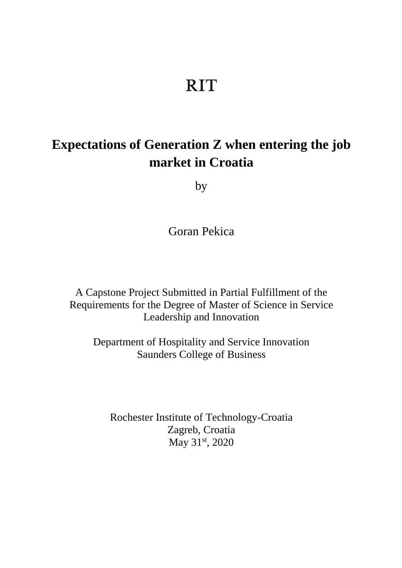# **RIT**

## **Expectations of Generation Z when entering the job market in Croatia**

by

Goran Pekica

A Capstone Project Submitted in Partial Fulfillment of the Requirements for the Degree of Master of Science in Service Leadership and Innovation

Department of Hospitality and Service Innovation Saunders College of Business

Rochester Institute of Technology-Croatia Zagreb, Croatia May 31<sup>st</sup>, 2020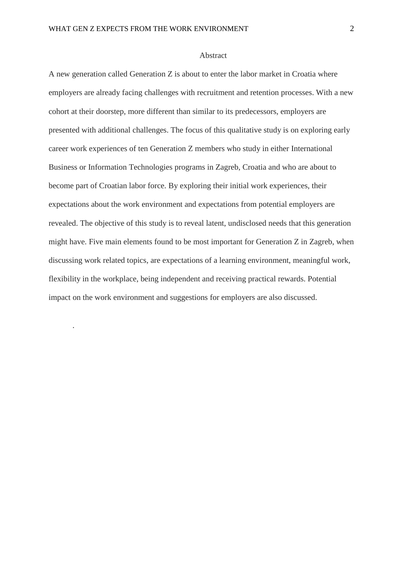.

#### Abstract

A new generation called Generation Z is about to enter the labor market in Croatia where employers are already facing challenges with recruitment and retention processes. With a new cohort at their doorstep, more different than similar to its predecessors, employers are presented with additional challenges. The focus of this qualitative study is on exploring early career work experiences of ten Generation Z members who study in either International Business or Information Technologies programs in Zagreb, Croatia and who are about to become part of Croatian labor force. By exploring their initial work experiences, their expectations about the work environment and expectations from potential employers are revealed. The objective of this study is to reveal latent, undisclosed needs that this generation might have. Five main elements found to be most important for Generation Z in Zagreb, when discussing work related topics, are expectations of a learning environment, meaningful work, flexibility in the workplace, being independent and receiving practical rewards. Potential impact on the work environment and suggestions for employers are also discussed.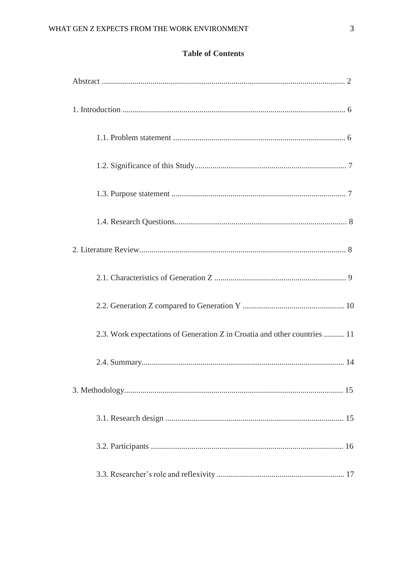### **Table of Contents**

| 2.3. Work expectations of Generation Z in Croatia and other countries  11 |
|---------------------------------------------------------------------------|
|                                                                           |
|                                                                           |
|                                                                           |
|                                                                           |
|                                                                           |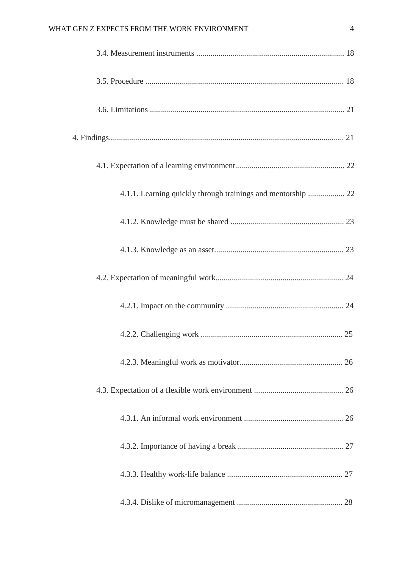### WHAT GEN Z EXPECTS FROM THE WORK ENVIRONMENT 4

| 4.1.1. Learning quickly through trainings and mentorship  22 |  |
|--------------------------------------------------------------|--|
|                                                              |  |
|                                                              |  |
|                                                              |  |
|                                                              |  |
|                                                              |  |
|                                                              |  |
|                                                              |  |
|                                                              |  |
|                                                              |  |
|                                                              |  |
|                                                              |  |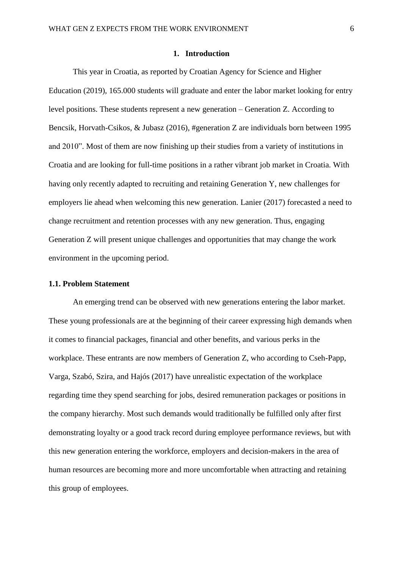#### **1. Introduction**

This year in Croatia, as reported by Croatian Agency for Science and Higher Education (2019), 165.000 students will graduate and enter the labor market looking for entry level positions. These students represent a new generation – Generation Z. According to Bencsik, Horvath-Csikos, & Jubasz (2016), #generation Z are individuals born between 1995 and 2010". Most of them are now finishing up their studies from a variety of institutions in Croatia and are looking for full-time positions in a rather vibrant job market in Croatia. With having only recently adapted to recruiting and retaining Generation Y, new challenges for employers lie ahead when welcoming this new generation. Lanier (2017) forecasted a need to change recruitment and retention processes with any new generation. Thus, engaging Generation Z will present unique challenges and opportunities that may change the work environment in the upcoming period.

#### **1.1. Problem Statement**

An emerging trend can be observed with new generations entering the labor market. These young professionals are at the beginning of their career expressing high demands when it comes to financial packages, financial and other benefits, and various perks in the workplace. These entrants are now members of Generation Z, who according to Cseh-Papp, Varga, Szabó, Szira, and Hajós (2017) have unrealistic expectation of the workplace regarding time they spend searching for jobs, desired remuneration packages or positions in the company hierarchy. Most such demands would traditionally be fulfilled only after first demonstrating loyalty or a good track record during employee performance reviews, but with this new generation entering the workforce, employers and decision-makers in the area of human resources are becoming more and more uncomfortable when attracting and retaining this group of employees.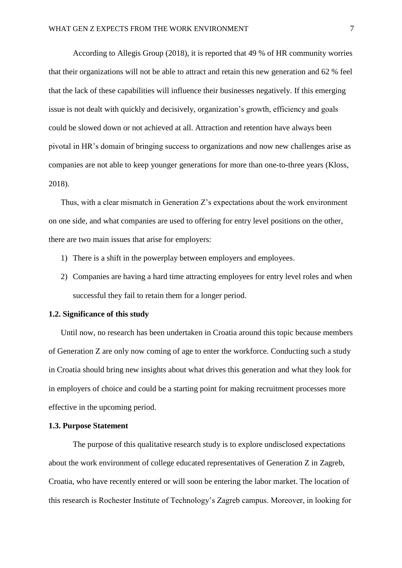According to Allegis Group (2018), it is reported that 49 % of HR community worries that their organizations will not be able to attract and retain this new generation and 62 % feel that the lack of these capabilities will influence their businesses negatively. If this emerging issue is not dealt with quickly and decisively, organization's growth, efficiency and goals could be slowed down or not achieved at all. Attraction and retention have always been pivotal in HR's domain of bringing success to organizations and now new challenges arise as companies are not able to keep younger generations for more than one-to-three years (Kloss, 2018).

Thus, with a clear mismatch in Generation Z's expectations about the work environment on one side, and what companies are used to offering for entry level positions on the other, there are two main issues that arise for employers:

- 1) There is a shift in the powerplay between employers and employees.
- 2) Companies are having a hard time attracting employees for entry level roles and when successful they fail to retain them for a longer period.

#### **1.2. Significance of this study**

Until now, no research has been undertaken in Croatia around this topic because members of Generation Z are only now coming of age to enter the workforce. Conducting such a study in Croatia should bring new insights about what drives this generation and what they look for in employers of choice and could be a starting point for making recruitment processes more effective in the upcoming period.

#### **1.3. Purpose Statement**

The purpose of this qualitative research study is to explore undisclosed expectations about the work environment of college educated representatives of Generation Z in Zagreb, Croatia, who have recently entered or will soon be entering the labor market. The location of this research is Rochester Institute of Technology's Zagreb campus. Moreover, in looking for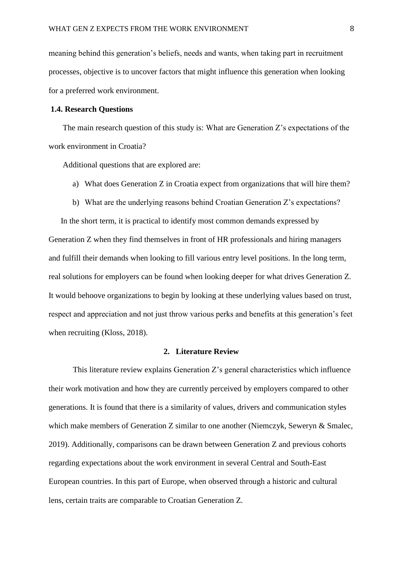meaning behind this generation's beliefs, needs and wants, when taking part in recruitment processes, objective is to uncover factors that might influence this generation when looking for a preferred work environment.

#### **1.4. Research Questions**

The main research question of this study is: What are Generation Z's expectations of the work environment in Croatia?

Additional questions that are explored are:

- a) What does Generation Z in Croatia expect from organizations that will hire them?
- b) What are the underlying reasons behind Croatian Generation Z's expectations?

In the short term, it is practical to identify most common demands expressed by Generation Z when they find themselves in front of HR professionals and hiring managers and fulfill their demands when looking to fill various entry level positions. In the long term, real solutions for employers can be found when looking deeper for what drives Generation Z. It would behoove organizations to begin by looking at these underlying values based on trust, respect and appreciation and not just throw various perks and benefits at this generation's feet when recruiting (Kloss, 2018).

#### **2. Literature Review**

This literature review explains Generation Z's general characteristics which influence their work motivation and how they are currently perceived by employers compared to other generations. It is found that there is a similarity of values, drivers and communication styles which make members of Generation Z similar to one another (Niemczyk, Seweryn & Smalec, 2019). Additionally, comparisons can be drawn between Generation Z and previous cohorts regarding expectations about the work environment in several Central and South-East European countries. In this part of Europe, when observed through a historic and cultural lens, certain traits are comparable to Croatian Generation Z.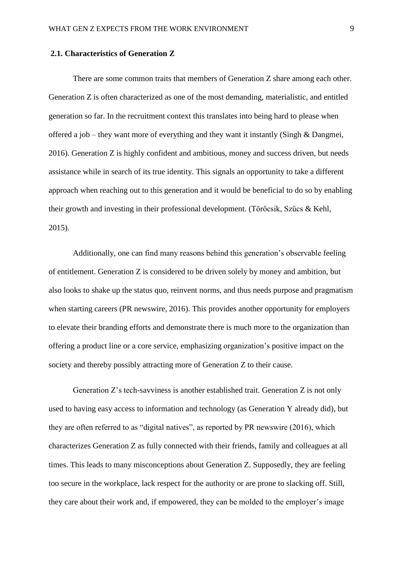#### **2.1. Characteristics of Generation Z**

There are some common traits that members of Generation Z share among each other. Generation Z is often characterized as one of the most demanding, materialistic, and entitled generation so far. In the recruitment context this translates into being hard to please when offered a job – they want more of everything and they want it instantly (Singh & Dangmei, 2016). Generation Z is highly confident and ambitious, money and success driven, but needs assistance while in search of its true identity. This signals an opportunity to take a different approach when reaching out to this generation and it would be beneficial to do so by enabling their growth and investing in their professional development. (Törőcsik, Szűcs & Kehl, 2015).

Additionally, one can find many reasons behind this generation's observable feeling of entitlement. Generation Z is considered to be driven solely by money and ambition, but also looks to shake up the status quo, reinvent norms, and thus needs purpose and pragmatism when starting careers (PR newswire, 2016). This provides another opportunity for employers to elevate their branding efforts and demonstrate there is much more to the organization than offering a product line or a core service, emphasizing organization's positive impact on the society and thereby possibly attracting more of Generation Z to their cause.

Generation Z's tech-savviness is another established trait. Generation Z is not only used to having easy access to information and technology (as Generation Y already did), but they are often referred to as "digital natives", as reported by PR newswire (2016), which characterizes Generation Z as fully connected with their friends, family and colleagues at all times. This leads to many misconceptions about Generation Z. Supposedly, they are feeling too secure in the workplace, lack respect for the authority or are prone to slacking off. Still, they care about their work and, if empowered, they can be molded to the employer's image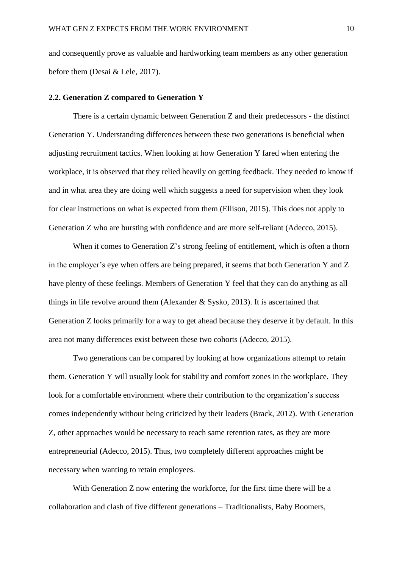and consequently prove as valuable and hardworking team members as any other generation before them (Desai & Lele, 2017).

#### **2.2. Generation Z compared to Generation Y**

There is a certain dynamic between Generation Z and their predecessors - the distinct Generation Y. Understanding differences between these two generations is beneficial when adjusting recruitment tactics. When looking at how Generation Y fared when entering the workplace, it is observed that they relied heavily on getting feedback. They needed to know if and in what area they are doing well which suggests a need for supervision when they look for clear instructions on what is expected from them (Ellison, 2015). This does not apply to Generation Z who are bursting with confidence and are more self-reliant (Adecco, 2015).

When it comes to Generation Z's strong feeling of entitlement, which is often a thorn in the employer's eye when offers are being prepared, it seems that both Generation Y and Z have plenty of these feelings. Members of Generation Y feel that they can do anything as all things in life revolve around them (Alexander & Sysko, 2013). It is ascertained that Generation Z looks primarily for a way to get ahead because they deserve it by default. In this area not many differences exist between these two cohorts (Adecco, 2015).

Two generations can be compared by looking at how organizations attempt to retain them. Generation Y will usually look for stability and comfort zones in the workplace. They look for a comfortable environment where their contribution to the organization's success comes independently without being criticized by their leaders (Brack, 2012). With Generation Z, other approaches would be necessary to reach same retention rates, as they are more entrepreneurial (Adecco, 2015). Thus, two completely different approaches might be necessary when wanting to retain employees.

With Generation Z now entering the workforce, for the first time there will be a collaboration and clash of five different generations – Traditionalists, Baby Boomers,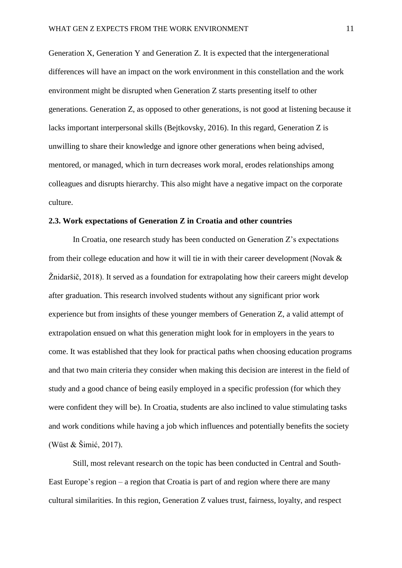Generation X, Generation Y and Generation Z. It is expected that the intergenerational differences will have an impact on the work environment in this constellation and the work environment might be disrupted when Generation Z starts presenting itself to other generations. Generation Z, as opposed to other generations, is not good at listening because it lacks important interpersonal skills (Bejtkovsky, 2016). In this regard, Generation Z is unwilling to share their knowledge and ignore other generations when being advised, mentored, or managed, which in turn decreases work moral, erodes relationships among colleagues and disrupts hierarchy. This also might have a negative impact on the corporate culture.

#### **2.3. Work expectations of Generation Z in Croatia and other countries**

In Croatia, one research study has been conducted on Generation Z's expectations from their college education and how it will tie in with their career development (Novak & Žnidaršič, 2018). It served as a foundation for extrapolating how their careers might develop after graduation. This research involved students without any significant prior work experience but from insights of these younger members of Generation Z, a valid attempt of extrapolation ensued on what this generation might look for in employers in the years to come. It was established that they look for practical paths when choosing education programs and that two main criteria they consider when making this decision are interest in the field of study and a good chance of being easily employed in a specific profession (for which they were confident they will be). In Croatia, students are also inclined to value stimulating tasks and work conditions while having a job which influences and potentially benefits the society (Wüst & Šimić, 2017).

Still, most relevant research on the topic has been conducted in Central and South-East Europe's region – a region that Croatia is part of and region where there are many cultural similarities. In this region, Generation Z values trust, fairness, loyalty, and respect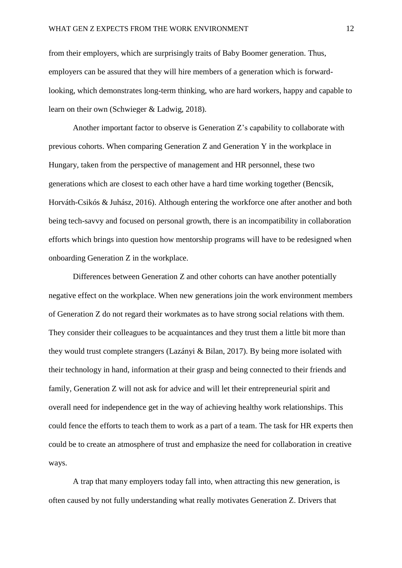from their employers, which are surprisingly traits of Baby Boomer generation. Thus, employers can be assured that they will hire members of a generation which is forwardlooking, which demonstrates long-term thinking, who are hard workers, happy and capable to learn on their own (Schwieger & Ladwig, 2018).

Another important factor to observe is Generation Z's capability to collaborate with previous cohorts. When comparing Generation Z and Generation Y in the workplace in Hungary, taken from the perspective of management and HR personnel, these two generations which are closest to each other have a hard time working together (Bencsik, Horváth-Csikós & Juhász, 2016). Although entering the workforce one after another and both being tech-savvy and focused on personal growth, there is an incompatibility in collaboration efforts which brings into question how mentorship programs will have to be redesigned when onboarding Generation Z in the workplace.

Differences between Generation Z and other cohorts can have another potentially negative effect on the workplace. When new generations join the work environment members of Generation Z do not regard their workmates as to have strong social relations with them. They consider their colleagues to be acquaintances and they trust them a little bit more than they would trust complete strangers (Lazányi & Bilan, 2017). By being more isolated with their technology in hand, information at their grasp and being connected to their friends and family, Generation Z will not ask for advice and will let their entrepreneurial spirit and overall need for independence get in the way of achieving healthy work relationships. This could fence the efforts to teach them to work as a part of a team. The task for HR experts then could be to create an atmosphere of trust and emphasize the need for collaboration in creative ways.

A trap that many employers today fall into, when attracting this new generation, is often caused by not fully understanding what really motivates Generation Z. Drivers that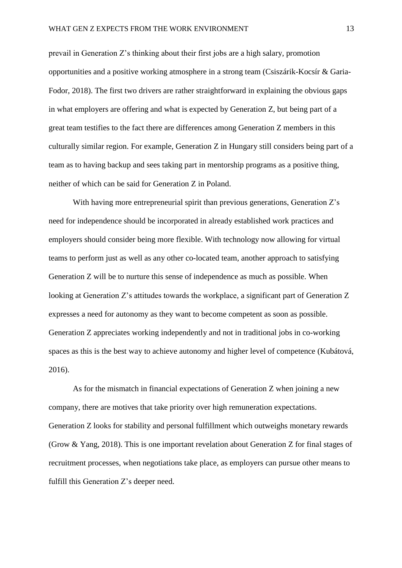prevail in Generation Z's thinking about their first jobs are a high salary, promotion opportunities and a positive working atmosphere in a strong team (Csiszárik-Kocsír & Garia-Fodor, 2018). The first two drivers are rather straightforward in explaining the obvious gaps in what employers are offering and what is expected by Generation Z, but being part of a great team testifies to the fact there are differences among Generation Z members in this culturally similar region. For example, Generation Z in Hungary still considers being part of a team as to having backup and sees taking part in mentorship programs as a positive thing, neither of which can be said for Generation Z in Poland.

With having more entrepreneurial spirit than previous generations, Generation Z's need for independence should be incorporated in already established work practices and employers should consider being more flexible. With technology now allowing for virtual teams to perform just as well as any other co-located team, another approach to satisfying Generation Z will be to nurture this sense of independence as much as possible. When looking at Generation Z's attitudes towards the workplace, a significant part of Generation Z expresses a need for autonomy as they want to become competent as soon as possible. Generation Z appreciates working independently and not in traditional jobs in co-working spaces as this is the best way to achieve autonomy and higher level of competence (Kubátová, 2016).

As for the mismatch in financial expectations of Generation Z when joining a new company, there are motives that take priority over high remuneration expectations. Generation Z looks for stability and personal fulfillment which outweighs monetary rewards (Grow & Yang, 2018). This is one important revelation about Generation Z for final stages of recruitment processes, when negotiations take place, as employers can pursue other means to fulfill this Generation Z's deeper need.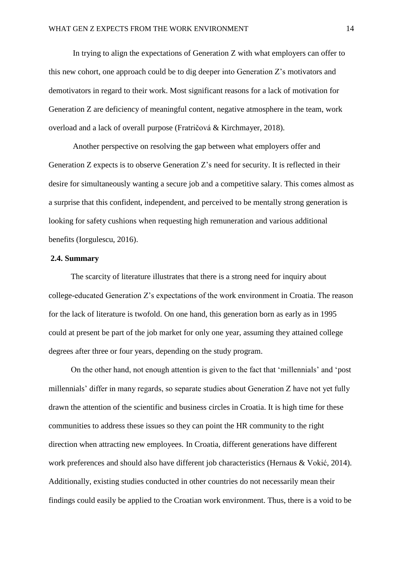In trying to align the expectations of Generation Z with what employers can offer to this new cohort, one approach could be to dig deeper into Generation Z's motivators and demotivators in regard to their work. Most significant reasons for a lack of motivation for Generation Z are deficiency of meaningful content, negative atmosphere in the team, work overload and a lack of overall purpose (Fratričová & Kirchmayer, 2018).

Another perspective on resolving the gap between what employers offer and Generation Z expects is to observe Generation Z's need for security. It is reflected in their desire for simultaneously wanting a secure job and a competitive salary. This comes almost as a surprise that this confident, independent, and perceived to be mentally strong generation is looking for safety cushions when requesting high remuneration and various additional benefits (Iorgulescu, 2016).

#### **2.4. Summary**

The scarcity of literature illustrates that there is a strong need for inquiry about college-educated Generation Z's expectations of the work environment in Croatia. The reason for the lack of literature is twofold. On one hand, this generation born as early as in 1995 could at present be part of the job market for only one year, assuming they attained college degrees after three or four years, depending on the study program.

On the other hand, not enough attention is given to the fact that 'millennials' and 'post millennials' differ in many regards, so separate studies about Generation Z have not yet fully drawn the attention of the scientific and business circles in Croatia. It is high time for these communities to address these issues so they can point the HR community to the right direction when attracting new employees. In Croatia, different generations have different work preferences and should also have different job characteristics (Hernaus & Vokić, 2014). Additionally, existing studies conducted in other countries do not necessarily mean their findings could easily be applied to the Croatian work environment. Thus, there is a void to be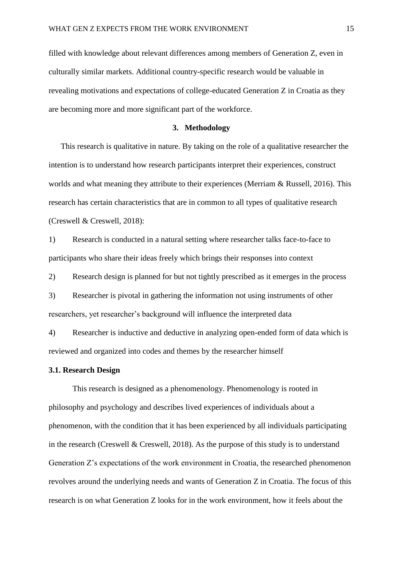filled with knowledge about relevant differences among members of Generation Z, even in culturally similar markets. Additional country-specific research would be valuable in revealing motivations and expectations of college-educated Generation Z in Croatia as they are becoming more and more significant part of the workforce.

#### **3. Methodology**

This research is qualitative in nature. By taking on the role of a qualitative researcher the intention is to understand how research participants interpret their experiences, construct worlds and what meaning they attribute to their experiences (Merriam & Russell, 2016). This research has certain characteristics that are in common to all types of qualitative research (Creswell & Creswell, 2018):

1) Research is conducted in a natural setting where researcher talks face-to-face to participants who share their ideas freely which brings their responses into context

2) Research design is planned for but not tightly prescribed as it emerges in the process

3) Researcher is pivotal in gathering the information not using instruments of other researchers, yet researcher's background will influence the interpreted data

4) Researcher is inductive and deductive in analyzing open-ended form of data which is reviewed and organized into codes and themes by the researcher himself

#### **3.1. Research Design**

This research is designed as a phenomenology. Phenomenology is rooted in philosophy and psychology and describes lived experiences of individuals about a phenomenon, with the condition that it has been experienced by all individuals participating in the research (Creswell & Creswell, 2018). As the purpose of this study is to understand Generation Z's expectations of the work environment in Croatia, the researched phenomenon revolves around the underlying needs and wants of Generation Z in Croatia. The focus of this research is on what Generation Z looks for in the work environment, how it feels about the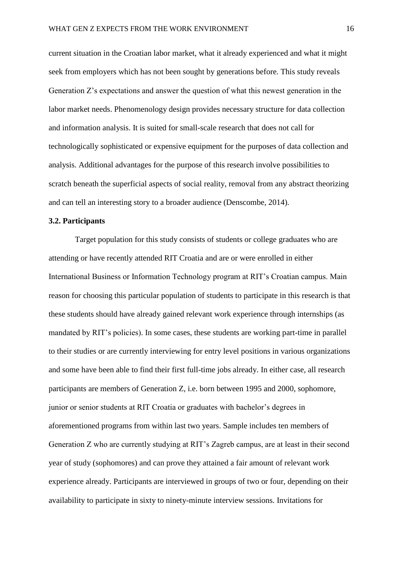current situation in the Croatian labor market, what it already experienced and what it might seek from employers which has not been sought by generations before. This study reveals Generation Z's expectations and answer the question of what this newest generation in the labor market needs. Phenomenology design provides necessary structure for data collection and information analysis. It is suited for small-scale research that does not call for technologically sophisticated or expensive equipment for the purposes of data collection and analysis. Additional advantages for the purpose of this research involve possibilities to scratch beneath the superficial aspects of social reality, removal from any abstract theorizing and can tell an interesting story to a broader audience (Denscombe, 2014).

#### **3.2. Participants**

Target population for this study consists of students or college graduates who are attending or have recently attended RIT Croatia and are or were enrolled in either International Business or Information Technology program at RIT's Croatian campus. Main reason for choosing this particular population of students to participate in this research is that these students should have already gained relevant work experience through internships (as mandated by RIT's policies). In some cases, these students are working part-time in parallel to their studies or are currently interviewing for entry level positions in various organizations and some have been able to find their first full-time jobs already. In either case, all research participants are members of Generation Z, i.e. born between 1995 and 2000, sophomore, junior or senior students at RIT Croatia or graduates with bachelor's degrees in aforementioned programs from within last two years. Sample includes ten members of Generation Z who are currently studying at RIT's Zagreb campus, are at least in their second year of study (sophomores) and can prove they attained a fair amount of relevant work experience already. Participants are interviewed in groups of two or four, depending on their availability to participate in sixty to ninety-minute interview sessions. Invitations for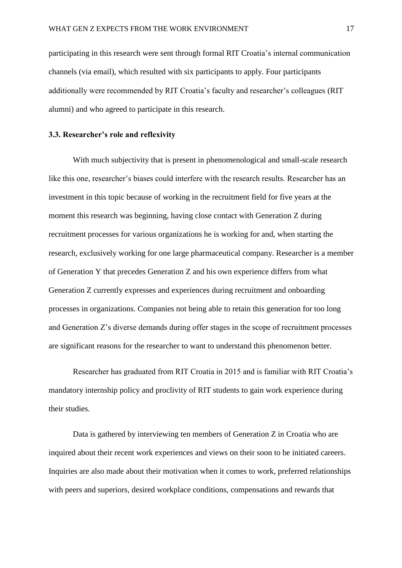participating in this research were sent through formal RIT Croatia's internal communication channels (via email), which resulted with six participants to apply. Four participants additionally were recommended by RIT Croatia's faculty and researcher's colleagues (RIT alumni) and who agreed to participate in this research.

#### **3.3. Researcher's role and reflexivity**

With much subjectivity that is present in phenomenological and small-scale research like this one, researcher's biases could interfere with the research results. Researcher has an investment in this topic because of working in the recruitment field for five years at the moment this research was beginning, having close contact with Generation Z during recruitment processes for various organizations he is working for and, when starting the research, exclusively working for one large pharmaceutical company. Researcher is a member of Generation Y that precedes Generation Z and his own experience differs from what Generation Z currently expresses and experiences during recruitment and onboarding processes in organizations. Companies not being able to retain this generation for too long and Generation Z's diverse demands during offer stages in the scope of recruitment processes are significant reasons for the researcher to want to understand this phenomenon better.

Researcher has graduated from RIT Croatia in 2015 and is familiar with RIT Croatia's mandatory internship policy and proclivity of RIT students to gain work experience during their studies.

Data is gathered by interviewing ten members of Generation Z in Croatia who are inquired about their recent work experiences and views on their soon to be initiated careers. Inquiries are also made about their motivation when it comes to work, preferred relationships with peers and superiors, desired workplace conditions, compensations and rewards that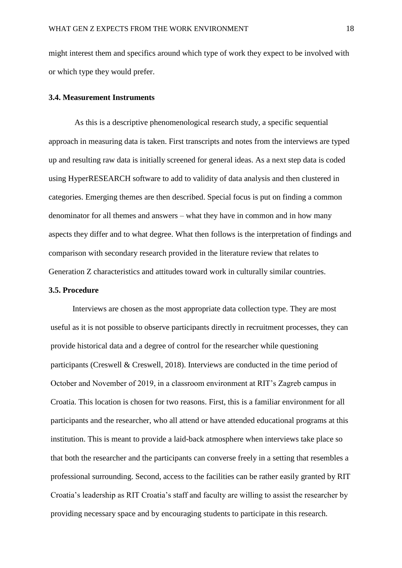might interest them and specifics around which type of work they expect to be involved with or which type they would prefer.

#### **3.4. Measurement Instruments**

As this is a descriptive phenomenological research study, a specific sequential approach in measuring data is taken. First transcripts and notes from the interviews are typed up and resulting raw data is initially screened for general ideas. As a next step data is coded using HyperRESEARCH software to add to validity of data analysis and then clustered in categories. Emerging themes are then described. Special focus is put on finding a common denominator for all themes and answers – what they have in common and in how many aspects they differ and to what degree. What then follows is the interpretation of findings and comparison with secondary research provided in the literature review that relates to Generation Z characteristics and attitudes toward work in culturally similar countries.

#### **3.5. Procedure**

Interviews are chosen as the most appropriate data collection type. They are most useful as it is not possible to observe participants directly in recruitment processes, they can provide historical data and a degree of control for the researcher while questioning participants (Creswell & Creswell, 2018). Interviews are conducted in the time period of October and November of 2019, in a classroom environment at RIT's Zagreb campus in Croatia. This location is chosen for two reasons. First, this is a familiar environment for all participants and the researcher, who all attend or have attended educational programs at this institution. This is meant to provide a laid-back atmosphere when interviews take place so that both the researcher and the participants can converse freely in a setting that resembles a professional surrounding. Second, access to the facilities can be rather easily granted by RIT Croatia's leadership as RIT Croatia's staff and faculty are willing to assist the researcher by providing necessary space and by encouraging students to participate in this research.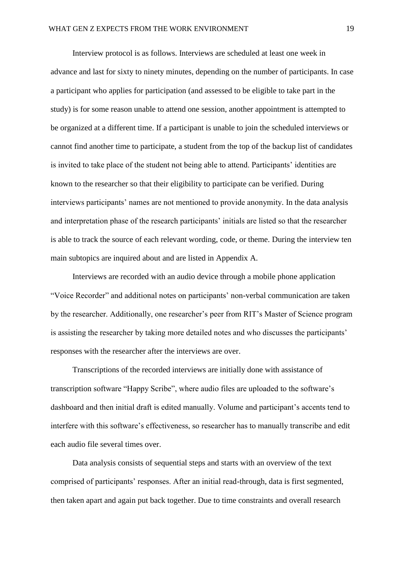Interview protocol is as follows. Interviews are scheduled at least one week in advance and last for sixty to ninety minutes, depending on the number of participants. In case a participant who applies for participation (and assessed to be eligible to take part in the study) is for some reason unable to attend one session, another appointment is attempted to be organized at a different time. If a participant is unable to join the scheduled interviews or cannot find another time to participate, a student from the top of the backup list of candidates is invited to take place of the student not being able to attend. Participants' identities are known to the researcher so that their eligibility to participate can be verified. During interviews participants' names are not mentioned to provide anonymity. In the data analysis and interpretation phase of the research participants' initials are listed so that the researcher is able to track the source of each relevant wording, code, or theme. During the interview ten main subtopics are inquired about and are listed in Appendix A.

Interviews are recorded with an audio device through a mobile phone application "Voice Recorder" and additional notes on participants' non-verbal communication are taken by the researcher. Additionally, one researcher's peer from RIT's Master of Science program is assisting the researcher by taking more detailed notes and who discusses the participants' responses with the researcher after the interviews are over.

Transcriptions of the recorded interviews are initially done with assistance of transcription software "Happy Scribe", where audio files are uploaded to the software's dashboard and then initial draft is edited manually. Volume and participant's accents tend to interfere with this software's effectiveness, so researcher has to manually transcribe and edit each audio file several times over.

Data analysis consists of sequential steps and starts with an overview of the text comprised of participants' responses. After an initial read-through, data is first segmented, then taken apart and again put back together. Due to time constraints and overall research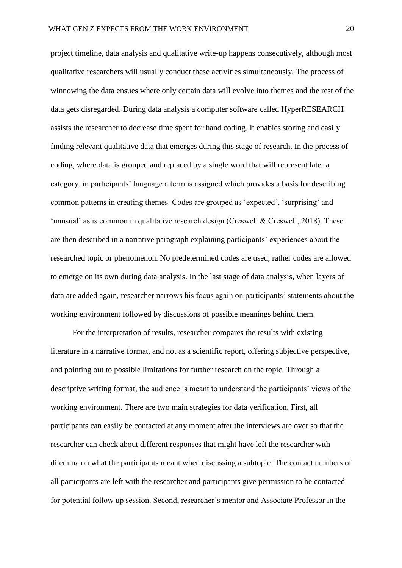project timeline, data analysis and qualitative write-up happens consecutively, although most qualitative researchers will usually conduct these activities simultaneously. The process of winnowing the data ensues where only certain data will evolve into themes and the rest of the data gets disregarded. During data analysis a computer software called HyperRESEARCH assists the researcher to decrease time spent for hand coding. It enables storing and easily finding relevant qualitative data that emerges during this stage of research. In the process of coding, where data is grouped and replaced by a single word that will represent later a category, in participants' language a term is assigned which provides a basis for describing common patterns in creating themes. Codes are grouped as 'expected', 'surprising' and 'unusual' as is common in qualitative research design (Creswell & Creswell, 2018). These are then described in a narrative paragraph explaining participants' experiences about the researched topic or phenomenon. No predetermined codes are used, rather codes are allowed to emerge on its own during data analysis. In the last stage of data analysis, when layers of data are added again, researcher narrows his focus again on participants' statements about the working environment followed by discussions of possible meanings behind them.

For the interpretation of results, researcher compares the results with existing literature in a narrative format, and not as a scientific report, offering subjective perspective, and pointing out to possible limitations for further research on the topic. Through a descriptive writing format, the audience is meant to understand the participants' views of the working environment. There are two main strategies for data verification. First, all participants can easily be contacted at any moment after the interviews are over so that the researcher can check about different responses that might have left the researcher with dilemma on what the participants meant when discussing a subtopic. The contact numbers of all participants are left with the researcher and participants give permission to be contacted for potential follow up session. Second, researcher's mentor and Associate Professor in the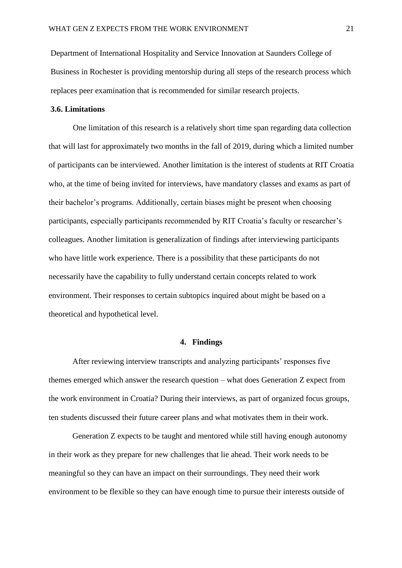Department of International Hospitality and Service Innovation at Saunders College of Business in Rochester is providing mentorship during all steps of the research process which replaces peer examination that is recommended for similar research projects.

#### **3.6. Limitations**

One limitation of this research is a relatively short time span regarding data collection that will last for approximately two months in the fall of 2019, during which a limited number of participants can be interviewed. Another limitation is the interest of students at RIT Croatia who, at the time of being invited for interviews, have mandatory classes and exams as part of their bachelor's programs. Additionally, certain biases might be present when choosing participants, especially participants recommended by RIT Croatia's faculty or researcher's colleagues. Another limitation is generalization of findings after interviewing participants who have little work experience. There is a possibility that these participants do not necessarily have the capability to fully understand certain concepts related to work environment. Their responses to certain subtopics inquired about might be based on a theoretical and hypothetical level.

#### **4. Findings**

After reviewing interview transcripts and analyzing participants' responses five themes emerged which answer the research question – what does Generation Z expect from the work environment in Croatia? During their interviews, as part of organized focus groups, ten students discussed their future career plans and what motivates them in their work.

Generation Z expects to be taught and mentored while still having enough autonomy in their work as they prepare for new challenges that lie ahead. Their work needs to be meaningful so they can have an impact on their surroundings. They need their work environment to be flexible so they can have enough time to pursue their interests outside of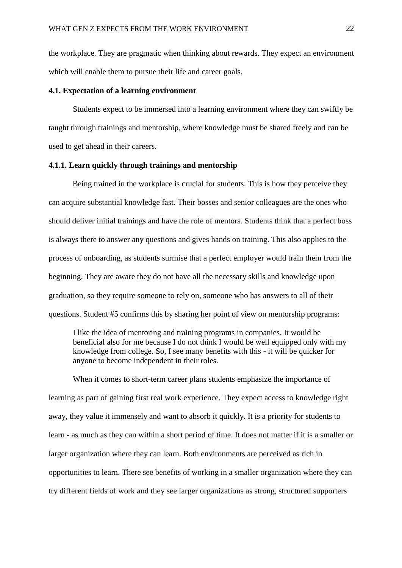the workplace. They are pragmatic when thinking about rewards. They expect an environment which will enable them to pursue their life and career goals.

#### **4.1. Expectation of a learning environment**

Students expect to be immersed into a learning environment where they can swiftly be taught through trainings and mentorship, where knowledge must be shared freely and can be used to get ahead in their careers.

#### **4.1.1. Learn quickly through trainings and mentorship**

Being trained in the workplace is crucial for students. This is how they perceive they can acquire substantial knowledge fast. Their bosses and senior colleagues are the ones who should deliver initial trainings and have the role of mentors. Students think that a perfect boss is always there to answer any questions and gives hands on training. This also applies to the process of onboarding, as students surmise that a perfect employer would train them from the beginning. They are aware they do not have all the necessary skills and knowledge upon graduation, so they require someone to rely on, someone who has answers to all of their questions. Student #5 confirms this by sharing her point of view on mentorship programs:

I like the idea of mentoring and training programs in companies. It would be beneficial also for me because I do not think I would be well equipped only with my knowledge from college. So, I see many benefits with this - it will be quicker for anyone to become independent in their roles.

When it comes to short-term career plans students emphasize the importance of learning as part of gaining first real work experience. They expect access to knowledge right away, they value it immensely and want to absorb it quickly. It is a priority for students to learn - as much as they can within a short period of time. It does not matter if it is a smaller or larger organization where they can learn. Both environments are perceived as rich in opportunities to learn. There see benefits of working in a smaller organization where they can try different fields of work and they see larger organizations as strong, structured supporters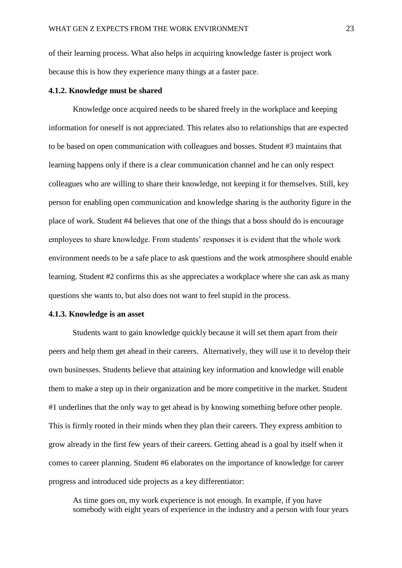of their learning process. What also helps in acquiring knowledge faster is project work because this is how they experience many things at a faster pace.

#### **4.1.2. Knowledge must be shared**

Knowledge once acquired needs to be shared freely in the workplace and keeping information for oneself is not appreciated. This relates also to relationships that are expected to be based on open communication with colleagues and bosses. Student #3 maintains that learning happens only if there is a clear communication channel and he can only respect colleagues who are willing to share their knowledge, not keeping it for themselves. Still, key person for enabling open communication and knowledge sharing is the authority figure in the place of work. Student #4 believes that one of the things that a boss should do is encourage employees to share knowledge. From students' responses it is evident that the whole work environment needs to be a safe place to ask questions and the work atmosphere should enable learning. Student #2 confirms this as she appreciates a workplace where she can ask as many questions she wants to, but also does not want to feel stupid in the process.

#### **4.1.3. Knowledge is an asset**

Students want to gain knowledge quickly because it will set them apart from their peers and help them get ahead in their careers. Alternatively, they will use it to develop their own businesses. Students believe that attaining key information and knowledge will enable them to make a step up in their organization and be more competitive in the market. Student #1 underlines that the only way to get ahead is by knowing something before other people. This is firmly rooted in their minds when they plan their careers. They express ambition to grow already in the first few years of their careers. Getting ahead is a goal by itself when it comes to career planning. Student #6 elaborates on the importance of knowledge for career progress and introduced side projects as a key differentiator:

As time goes on, my work experience is not enough. In example, if you have somebody with eight years of experience in the industry and a person with four years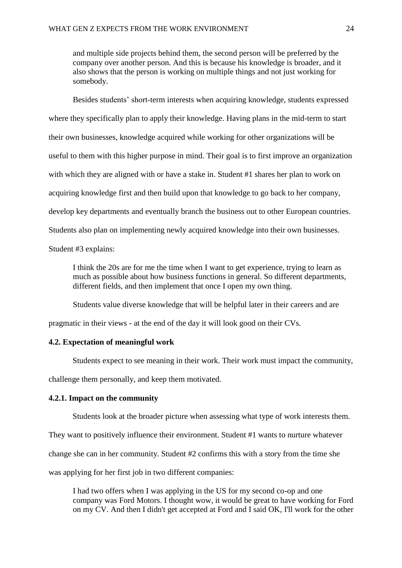and multiple side projects behind them, the second person will be preferred by the company over another person. And this is because his knowledge is broader, and it also shows that the person is working on multiple things and not just working for somebody.

Besides students' short-term interests when acquiring knowledge, students expressed where they specifically plan to apply their knowledge. Having plans in the mid-term to start their own businesses, knowledge acquired while working for other organizations will be useful to them with this higher purpose in mind. Their goal is to first improve an organization with which they are aligned with or have a stake in. Student #1 shares her plan to work on acquiring knowledge first and then build upon that knowledge to go back to her company, develop key departments and eventually branch the business out to other European countries. Students also plan on implementing newly acquired knowledge into their own businesses. Student #3 explains:

I think the 20s are for me the time when I want to get experience, trying to learn as much as possible about how business functions in general. So different departments, different fields, and then implement that once I open my own thing.

Students value diverse knowledge that will be helpful later in their careers and are

pragmatic in their views - at the end of the day it will look good on their CVs.

#### **4.2. Expectation of meaningful work**

Students expect to see meaning in their work. Their work must impact the community,

challenge them personally, and keep them motivated.

#### **4.2.1. Impact on the community**

Students look at the broader picture when assessing what type of work interests them.

They want to positively influence their environment. Student #1 wants to nurture whatever

change she can in her community. Student #2 confirms this with a story from the time she

was applying for her first job in two different companies:

I had two offers when I was applying in the US for my second co-op and one company was Ford Motors. I thought wow, it would be great to have working for Ford on my CV. And then I didn't get accepted at Ford and I said OK, I'll work for the other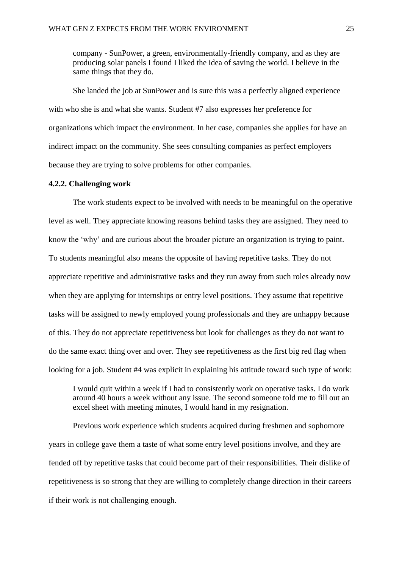company - SunPower, a green, environmentally-friendly company, and as they are producing solar panels I found I liked the idea of saving the world. I believe in the same things that they do.

She landed the job at SunPower and is sure this was a perfectly aligned experience with who she is and what she wants. Student #7 also expresses her preference for organizations which impact the environment. In her case, companies she applies for have an indirect impact on the community. She sees consulting companies as perfect employers because they are trying to solve problems for other companies.

#### **4.2.2. Challenging work**

The work students expect to be involved with needs to be meaningful on the operative level as well. They appreciate knowing reasons behind tasks they are assigned. They need to know the 'why' and are curious about the broader picture an organization is trying to paint. To students meaningful also means the opposite of having repetitive tasks. They do not appreciate repetitive and administrative tasks and they run away from such roles already now when they are applying for internships or entry level positions. They assume that repetitive tasks will be assigned to newly employed young professionals and they are unhappy because of this. They do not appreciate repetitiveness but look for challenges as they do not want to do the same exact thing over and over. They see repetitiveness as the first big red flag when looking for a job. Student #4 was explicit in explaining his attitude toward such type of work:

I would quit within a week if I had to consistently work on operative tasks. I do work around 40 hours a week without any issue. The second someone told me to fill out an excel sheet with meeting minutes, I would hand in my resignation.

Previous work experience which students acquired during freshmen and sophomore years in college gave them a taste of what some entry level positions involve, and they are fended off by repetitive tasks that could become part of their responsibilities. Their dislike of repetitiveness is so strong that they are willing to completely change direction in their careers if their work is not challenging enough.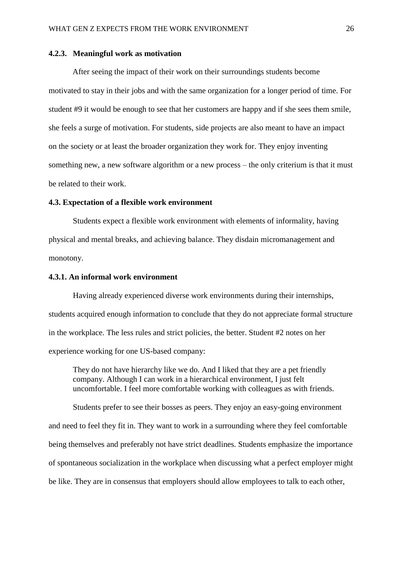#### **4.2.3. Meaningful work as motivation**

After seeing the impact of their work on their surroundings students become motivated to stay in their jobs and with the same organization for a longer period of time. For student #9 it would be enough to see that her customers are happy and if she sees them smile, she feels a surge of motivation. For students, side projects are also meant to have an impact on the society or at least the broader organization they work for. They enjoy inventing something new, a new software algorithm or a new process – the only criterium is that it must be related to their work.

#### **4.3. Expectation of a flexible work environment**

Students expect a flexible work environment with elements of informality, having physical and mental breaks, and achieving balance. They disdain micromanagement and monotony.

#### **4.3.1. An informal work environment**

Having already experienced diverse work environments during their internships, students acquired enough information to conclude that they do not appreciate formal structure in the workplace. The less rules and strict policies, the better. Student #2 notes on her experience working for one US-based company:

They do not have hierarchy like we do. And I liked that they are a pet friendly company. Although I can work in a hierarchical environment, I just felt uncomfortable. I feel more comfortable working with colleagues as with friends.

Students prefer to see their bosses as peers. They enjoy an easy-going environment and need to feel they fit in. They want to work in a surrounding where they feel comfortable being themselves and preferably not have strict deadlines. Students emphasize the importance of spontaneous socialization in the workplace when discussing what a perfect employer might be like. They are in consensus that employers should allow employees to talk to each other,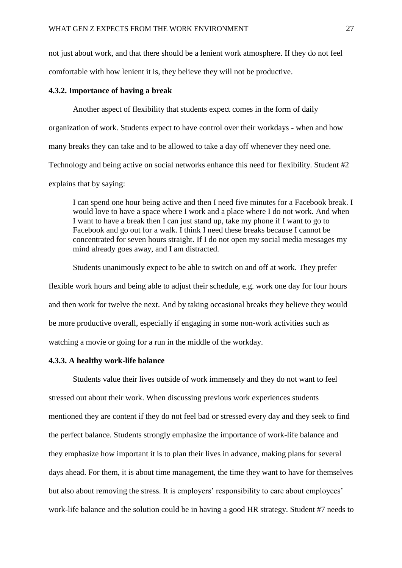not just about work, and that there should be a lenient work atmosphere. If they do not feel comfortable with how lenient it is, they believe they will not be productive.

#### **4.3.2. Importance of having a break**

Another aspect of flexibility that students expect comes in the form of daily organization of work. Students expect to have control over their workdays - when and how many breaks they can take and to be allowed to take a day off whenever they need one. Technology and being active on social networks enhance this need for flexibility. Student #2 explains that by saying:

I can spend one hour being active and then I need five minutes for a Facebook break. I would love to have a space where I work and a place where I do not work. And when I want to have a break then I can just stand up, take my phone if I want to go to Facebook and go out for a walk. I think I need these breaks because I cannot be concentrated for seven hours straight. If I do not open my social media messages my mind already goes away, and I am distracted.

Students unanimously expect to be able to switch on and off at work. They prefer flexible work hours and being able to adjust their schedule, e.g. work one day for four hours and then work for twelve the next. And by taking occasional breaks they believe they would be more productive overall, especially if engaging in some non-work activities such as watching a movie or going for a run in the middle of the workday.

#### **4.3.3. A healthy work-life balance**

Students value their lives outside of work immensely and they do not want to feel stressed out about their work. When discussing previous work experiences students mentioned they are content if they do not feel bad or stressed every day and they seek to find the perfect balance. Students strongly emphasize the importance of work-life balance and they emphasize how important it is to plan their lives in advance, making plans for several days ahead. For them, it is about time management, the time they want to have for themselves but also about removing the stress. It is employers' responsibility to care about employees' work-life balance and the solution could be in having a good HR strategy. Student #7 needs to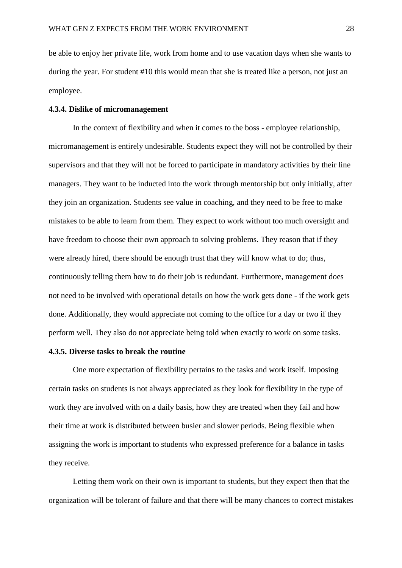be able to enjoy her private life, work from home and to use vacation days when she wants to during the year. For student #10 this would mean that she is treated like a person, not just an employee.

#### **4.3.4. Dislike of micromanagement**

In the context of flexibility and when it comes to the boss - employee relationship, micromanagement is entirely undesirable. Students expect they will not be controlled by their supervisors and that they will not be forced to participate in mandatory activities by their line managers. They want to be inducted into the work through mentorship but only initially, after they join an organization. Students see value in coaching, and they need to be free to make mistakes to be able to learn from them. They expect to work without too much oversight and have freedom to choose their own approach to solving problems. They reason that if they were already hired, there should be enough trust that they will know what to do; thus, continuously telling them how to do their job is redundant. Furthermore, management does not need to be involved with operational details on how the work gets done - if the work gets done. Additionally, they would appreciate not coming to the office for a day or two if they perform well. They also do not appreciate being told when exactly to work on some tasks.

#### **4.3.5. Diverse tasks to break the routine**

One more expectation of flexibility pertains to the tasks and work itself. Imposing certain tasks on students is not always appreciated as they look for flexibility in the type of work they are involved with on a daily basis, how they are treated when they fail and how their time at work is distributed between busier and slower periods. Being flexible when assigning the work is important to students who expressed preference for a balance in tasks they receive.

Letting them work on their own is important to students, but they expect then that the organization will be tolerant of failure and that there will be many chances to correct mistakes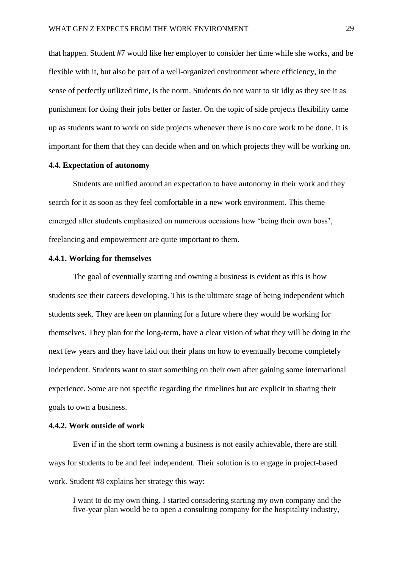that happen. Student #7 would like her employer to consider her time while she works, and be flexible with it, but also be part of a well-organized environment where efficiency, in the sense of perfectly utilized time, is the norm. Students do not want to sit idly as they see it as punishment for doing their jobs better or faster. On the topic of side projects flexibility came up as students want to work on side projects whenever there is no core work to be done. It is important for them that they can decide when and on which projects they will be working on.

#### **4.4. Expectation of autonomy**

Students are unified around an expectation to have autonomy in their work and they search for it as soon as they feel comfortable in a new work environment. This theme emerged after students emphasized on numerous occasions how 'being their own boss', freelancing and empowerment are quite important to them.

#### **4.4.1. Working for themselves**

The goal of eventually starting and owning a business is evident as this is how students see their careers developing. This is the ultimate stage of being independent which students seek. They are keen on planning for a future where they would be working for themselves. They plan for the long-term, have a clear vision of what they will be doing in the next few years and they have laid out their plans on how to eventually become completely independent. Students want to start something on their own after gaining some international experience. Some are not specific regarding the timelines but are explicit in sharing their goals to own a business.

#### **4.4.2. Work outside of work**

Even if in the short term owning a business is not easily achievable, there are still ways for students to be and feel independent. Their solution is to engage in project-based work. Student #8 explains her strategy this way:

I want to do my own thing. I started considering starting my own company and the five-year plan would be to open a consulting company for the hospitality industry,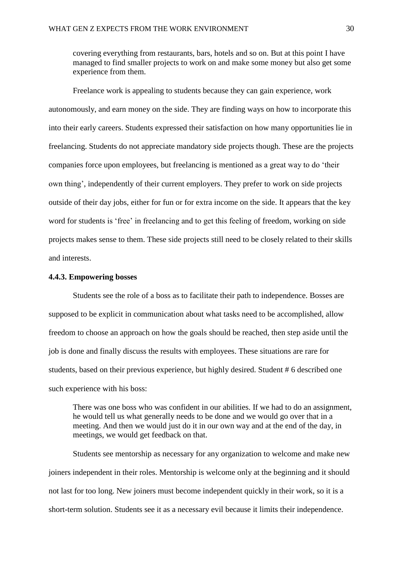covering everything from restaurants, bars, hotels and so on. But at this point I have managed to find smaller projects to work on and make some money but also get some experience from them.

Freelance work is appealing to students because they can gain experience, work autonomously, and earn money on the side. They are finding ways on how to incorporate this into their early careers. Students expressed their satisfaction on how many opportunities lie in freelancing. Students do not appreciate mandatory side projects though. These are the projects companies force upon employees, but freelancing is mentioned as a great way to do 'their own thing', independently of their current employers. They prefer to work on side projects outside of their day jobs, either for fun or for extra income on the side. It appears that the key word for students is 'free' in freelancing and to get this feeling of freedom, working on side projects makes sense to them. These side projects still need to be closely related to their skills and interests.

#### **4.4.3. Empowering bosses**

Students see the role of a boss as to facilitate their path to independence. Bosses are supposed to be explicit in communication about what tasks need to be accomplished, allow freedom to choose an approach on how the goals should be reached, then step aside until the job is done and finally discuss the results with employees. These situations are rare for students, based on their previous experience, but highly desired. Student # 6 described one such experience with his boss:

There was one boss who was confident in our abilities. If we had to do an assignment, he would tell us what generally needs to be done and we would go over that in a meeting. And then we would just do it in our own way and at the end of the day, in meetings, we would get feedback on that.

Students see mentorship as necessary for any organization to welcome and make new joiners independent in their roles. Mentorship is welcome only at the beginning and it should not last for too long. New joiners must become independent quickly in their work, so it is a short-term solution. Students see it as a necessary evil because it limits their independence.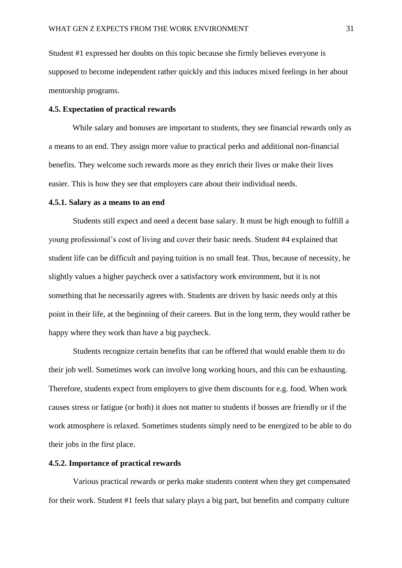Student #1 expressed her doubts on this topic because she firmly believes everyone is supposed to become independent rather quickly and this induces mixed feelings in her about mentorship programs.

#### **4.5. Expectation of practical rewards**

While salary and bonuses are important to students, they see financial rewards only as a means to an end. They assign more value to practical perks and additional non-financial benefits. They welcome such rewards more as they enrich their lives or make their lives easier. This is how they see that employers care about their individual needs.

#### **4.5.1. Salary as a means to an end**

Students still expect and need a decent base salary. It must be high enough to fulfill a young professional's cost of living and cover their basic needs. Student #4 explained that student life can be difficult and paying tuition is no small feat. Thus, because of necessity, he slightly values a higher paycheck over a satisfactory work environment, but it is not something that he necessarily agrees with. Students are driven by basic needs only at this point in their life, at the beginning of their careers. But in the long term, they would rather be happy where they work than have a big paycheck.

Students recognize certain benefits that can be offered that would enable them to do their job well. Sometimes work can involve long working hours, and this can be exhausting. Therefore, students expect from employers to give them discounts for e.g. food. When work causes stress or fatigue (or both) it does not matter to students if bosses are friendly or if the work atmosphere is relaxed. Sometimes students simply need to be energized to be able to do their jobs in the first place.

#### **4.5.2. Importance of practical rewards**

Various practical rewards or perks make students content when they get compensated for their work. Student #1 feels that salary plays a big part, but benefits and company culture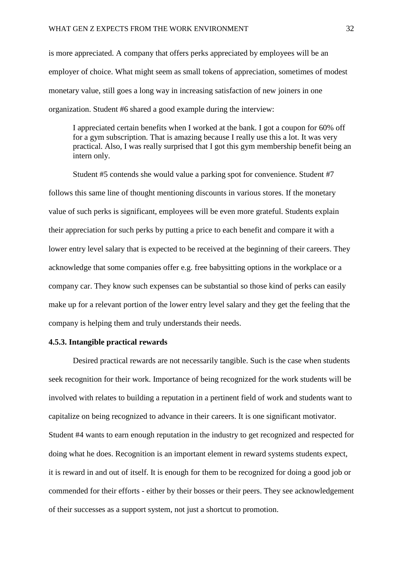is more appreciated. A company that offers perks appreciated by employees will be an employer of choice. What might seem as small tokens of appreciation, sometimes of modest monetary value, still goes a long way in increasing satisfaction of new joiners in one organization. Student #6 shared a good example during the interview:

I appreciated certain benefits when I worked at the bank. I got a coupon for 60% off for a gym subscription. That is amazing because I really use this a lot. It was very practical. Also, I was really surprised that I got this gym membership benefit being an intern only.

Student #5 contends she would value a parking spot for convenience. Student #7 follows this same line of thought mentioning discounts in various stores. If the monetary value of such perks is significant, employees will be even more grateful. Students explain their appreciation for such perks by putting a price to each benefit and compare it with a lower entry level salary that is expected to be received at the beginning of their careers. They acknowledge that some companies offer e.g. free babysitting options in the workplace or a company car. They know such expenses can be substantial so those kind of perks can easily make up for a relevant portion of the lower entry level salary and they get the feeling that the company is helping them and truly understands their needs.

#### **4.5.3. Intangible practical rewards**

Desired practical rewards are not necessarily tangible. Such is the case when students seek recognition for their work. Importance of being recognized for the work students will be involved with relates to building a reputation in a pertinent field of work and students want to capitalize on being recognized to advance in their careers. It is one significant motivator. Student #4 wants to earn enough reputation in the industry to get recognized and respected for doing what he does. Recognition is an important element in reward systems students expect, it is reward in and out of itself. It is enough for them to be recognized for doing a good job or commended for their efforts - either by their bosses or their peers. They see acknowledgement of their successes as a support system, not just a shortcut to promotion.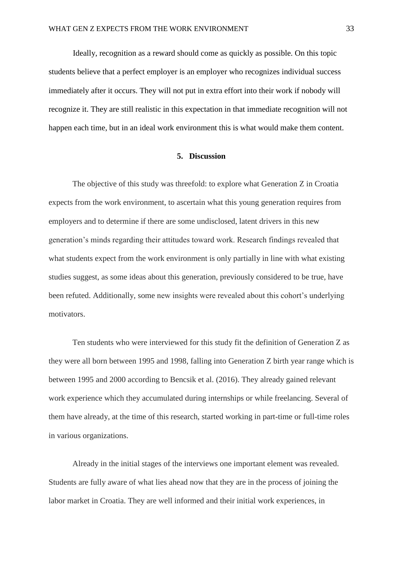Ideally, recognition as a reward should come as quickly as possible. On this topic students believe that a perfect employer is an employer who recognizes individual success immediately after it occurs. They will not put in extra effort into their work if nobody will recognize it. They are still realistic in this expectation in that immediate recognition will not happen each time, but in an ideal work environment this is what would make them content.

#### **5. Discussion**

The objective of this study was threefold: to explore what Generation Z in Croatia expects from the work environment, to ascertain what this young generation requires from employers and to determine if there are some undisclosed, latent drivers in this new generation's minds regarding their attitudes toward work. Research findings revealed that what students expect from the work environment is only partially in line with what existing studies suggest, as some ideas about this generation, previously considered to be true, have been refuted. Additionally, some new insights were revealed about this cohort's underlying motivators.

Ten students who were interviewed for this study fit the definition of Generation Z as they were all born between 1995 and 1998, falling into Generation Z birth year range which is between 1995 and 2000 according to Bencsik et al. (2016). They already gained relevant work experience which they accumulated during internships or while freelancing. Several of them have already, at the time of this research, started working in part-time or full-time roles in various organizations.

Already in the initial stages of the interviews one important element was revealed. Students are fully aware of what lies ahead now that they are in the process of joining the labor market in Croatia. They are well informed and their initial work experiences, in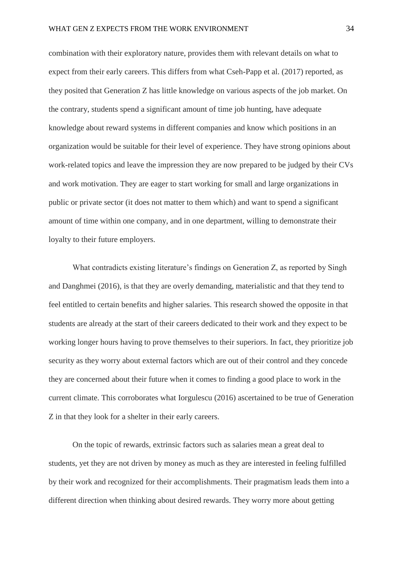combination with their exploratory nature, provides them with relevant details on what to expect from their early careers. This differs from what Cseh-Papp et al. (2017) reported, as they posited that Generation Z has little knowledge on various aspects of the job market. On the contrary, students spend a significant amount of time job hunting, have adequate knowledge about reward systems in different companies and know which positions in an organization would be suitable for their level of experience. They have strong opinions about work-related topics and leave the impression they are now prepared to be judged by their CVs and work motivation. They are eager to start working for small and large organizations in public or private sector (it does not matter to them which) and want to spend a significant amount of time within one company, and in one department, willing to demonstrate their loyalty to their future employers.

What contradicts existing literature's findings on Generation Z, as reported by Singh and Danghmei (2016), is that they are overly demanding, materialistic and that they tend to feel entitled to certain benefits and higher salaries. This research showed the opposite in that students are already at the start of their careers dedicated to their work and they expect to be working longer hours having to prove themselves to their superiors. In fact, they prioritize job security as they worry about external factors which are out of their control and they concede they are concerned about their future when it comes to finding a good place to work in the current climate. This corroborates what Iorgulescu (2016) ascertained to be true of Generation Z in that they look for a shelter in their early careers.

On the topic of rewards, extrinsic factors such as salaries mean a great deal to students, yet they are not driven by money as much as they are interested in feeling fulfilled by their work and recognized for their accomplishments. Their pragmatism leads them into a different direction when thinking about desired rewards. They worry more about getting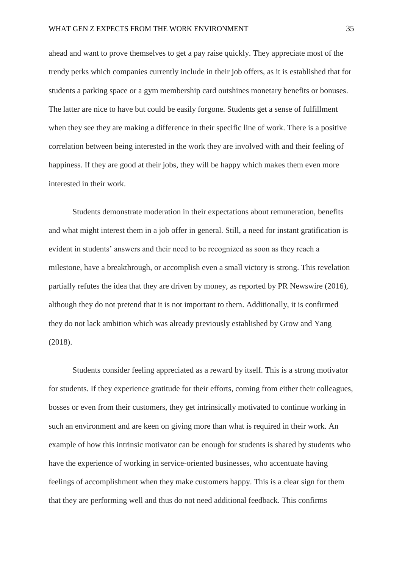ahead and want to prove themselves to get a pay raise quickly. They appreciate most of the trendy perks which companies currently include in their job offers, as it is established that for students a parking space or a gym membership card outshines monetary benefits or bonuses. The latter are nice to have but could be easily forgone. Students get a sense of fulfillment when they see they are making a difference in their specific line of work. There is a positive correlation between being interested in the work they are involved with and their feeling of happiness. If they are good at their jobs, they will be happy which makes them even more interested in their work.

Students demonstrate moderation in their expectations about remuneration, benefits and what might interest them in a job offer in general. Still, a need for instant gratification is evident in students' answers and their need to be recognized as soon as they reach a milestone, have a breakthrough, or accomplish even a small victory is strong. This revelation partially refutes the idea that they are driven by money, as reported by PR Newswire (2016), although they do not pretend that it is not important to them. Additionally, it is confirmed they do not lack ambition which was already previously established by Grow and Yang (2018).

Students consider feeling appreciated as a reward by itself. This is a strong motivator for students. If they experience gratitude for their efforts, coming from either their colleagues, bosses or even from their customers, they get intrinsically motivated to continue working in such an environment and are keen on giving more than what is required in their work. An example of how this intrinsic motivator can be enough for students is shared by students who have the experience of working in service-oriented businesses, who accentuate having feelings of accomplishment when they make customers happy. This is a clear sign for them that they are performing well and thus do not need additional feedback. This confirms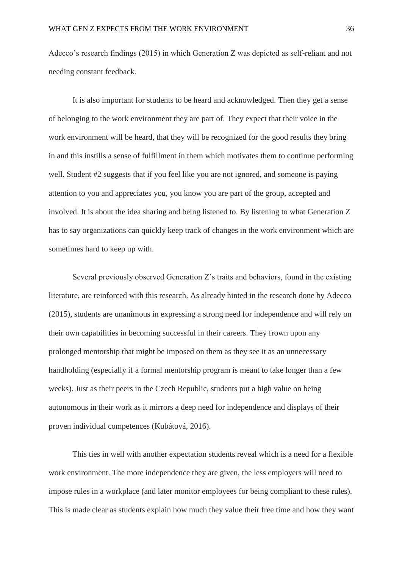Adecco's research findings (2015) in which Generation Z was depicted as self-reliant and not needing constant feedback.

It is also important for students to be heard and acknowledged. Then they get a sense of belonging to the work environment they are part of. They expect that their voice in the work environment will be heard, that they will be recognized for the good results they bring in and this instills a sense of fulfillment in them which motivates them to continue performing well. Student #2 suggests that if you feel like you are not ignored, and someone is paying attention to you and appreciates you, you know you are part of the group, accepted and involved. It is about the idea sharing and being listened to. By listening to what Generation Z has to say organizations can quickly keep track of changes in the work environment which are sometimes hard to keep up with.

Several previously observed Generation Z's traits and behaviors, found in the existing literature, are reinforced with this research. As already hinted in the research done by Adecco (2015), students are unanimous in expressing a strong need for independence and will rely on their own capabilities in becoming successful in their careers. They frown upon any prolonged mentorship that might be imposed on them as they see it as an unnecessary handholding (especially if a formal mentorship program is meant to take longer than a few weeks). Just as their peers in the Czech Republic, students put a high value on being autonomous in their work as it mirrors a deep need for independence and displays of their proven individual competences (Kubátová, 2016).

This ties in well with another expectation students reveal which is a need for a flexible work environment. The more independence they are given, the less employers will need to impose rules in a workplace (and later monitor employees for being compliant to these rules). This is made clear as students explain how much they value their free time and how they want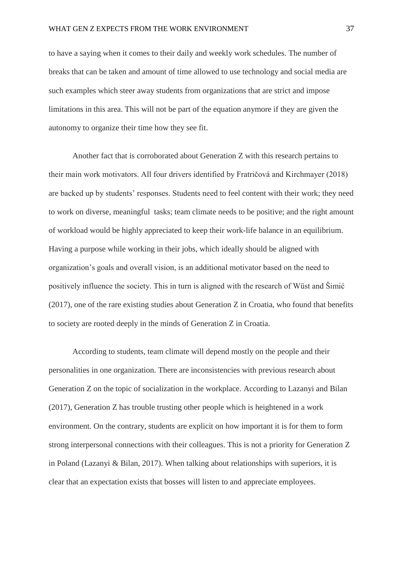to have a saying when it comes to their daily and weekly work schedules. The number of breaks that can be taken and amount of time allowed to use technology and social media are such examples which steer away students from organizations that are strict and impose limitations in this area. This will not be part of the equation anymore if they are given the autonomy to organize their time how they see fit.

Another fact that is corroborated about Generation Z with this research pertains to their main work motivators. All four drivers identified by Fratričová and Kirchmayer (2018) are backed up by students' responses. Students need to feel content with their work; they need to work on diverse, meaningful tasks; team climate needs to be positive; and the right amount of workload would be highly appreciated to keep their work-life balance in an equilibrium. Having a purpose while working in their jobs, which ideally should be aligned with organization's goals and overall vision, is an additional motivator based on the need to positively influence the society. This in turn is aligned with the research of Wüst and Šimić (2017), one of the rare existing studies about Generation Z in Croatia, who found that benefits to society are rooted deeply in the minds of Generation Z in Croatia.

According to students, team climate will depend mostly on the people and their personalities in one organization. There are inconsistencies with previous research about Generation Z on the topic of socialization in the workplace. According to Lazanyi and Bilan (2017), Generation Z has trouble trusting other people which is heightened in a work environment. On the contrary, students are explicit on how important it is for them to form strong interpersonal connections with their colleagues. This is not a priority for Generation Z in Poland (Lazanyi & Bilan, 2017). When talking about relationships with superiors, it is clear that an expectation exists that bosses will listen to and appreciate employees.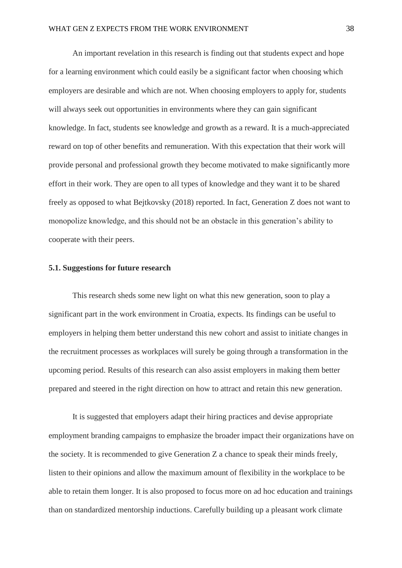An important revelation in this research is finding out that students expect and hope for a learning environment which could easily be a significant factor when choosing which employers are desirable and which are not. When choosing employers to apply for, students will always seek out opportunities in environments where they can gain significant knowledge. In fact, students see knowledge and growth as a reward. It is a much-appreciated reward on top of other benefits and remuneration. With this expectation that their work will provide personal and professional growth they become motivated to make significantly more effort in their work. They are open to all types of knowledge and they want it to be shared freely as opposed to what Bejtkovsky (2018) reported. In fact, Generation Z does not want to monopolize knowledge, and this should not be an obstacle in this generation's ability to cooperate with their peers.

#### **5.1. Suggestions for future research**

This research sheds some new light on what this new generation, soon to play a significant part in the work environment in Croatia, expects. Its findings can be useful to employers in helping them better understand this new cohort and assist to initiate changes in the recruitment processes as workplaces will surely be going through a transformation in the upcoming period. Results of this research can also assist employers in making them better prepared and steered in the right direction on how to attract and retain this new generation.

It is suggested that employers adapt their hiring practices and devise appropriate employment branding campaigns to emphasize the broader impact their organizations have on the society. It is recommended to give Generation Z a chance to speak their minds freely, listen to their opinions and allow the maximum amount of flexibility in the workplace to be able to retain them longer. It is also proposed to focus more on ad hoc education and trainings than on standardized mentorship inductions. Carefully building up a pleasant work climate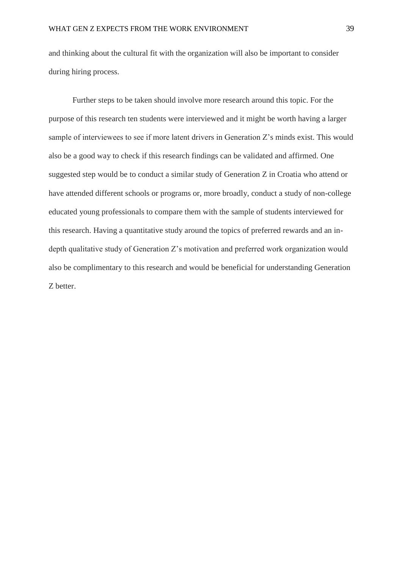and thinking about the cultural fit with the organization will also be important to consider during hiring process.

Further steps to be taken should involve more research around this topic. For the purpose of this research ten students were interviewed and it might be worth having a larger sample of interviewees to see if more latent drivers in Generation Z's minds exist. This would also be a good way to check if this research findings can be validated and affirmed. One suggested step would be to conduct a similar study of Generation Z in Croatia who attend or have attended different schools or programs or, more broadly, conduct a study of non-college educated young professionals to compare them with the sample of students interviewed for this research. Having a quantitative study around the topics of preferred rewards and an indepth qualitative study of Generation Z's motivation and preferred work organization would also be complimentary to this research and would be beneficial for understanding Generation Z better.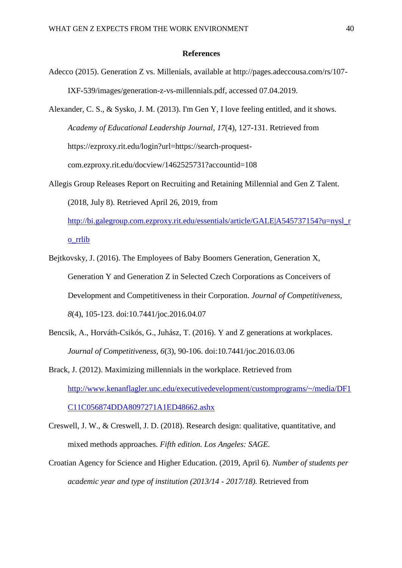#### **References**

Adecco (2015). Generation Z vs. Millenials, available at http://pages.adeccousa.com/rs/107- IXF-539/images/generation-z-vs-millennials.pdf, accessed 07.04.2019.

Alexander, C. S., & Sysko, J. M. (2013). I'm Gen Y, I love feeling entitled, and it shows. *Academy of Educational Leadership Journal*, *17*(4), 127-131. Retrieved from https://ezproxy.rit.edu/login?url=https://search-proquestcom.ezproxy.rit.edu/docview/1462525731?accountid=108

- Allegis Group Releases Report on Recruiting and Retaining Millennial and Gen Z Talent. (2018, July 8). Retrieved April 26, 2019, from [http://bi.galegroup.com.ezproxy.rit.edu/essentials/article/GALE|A545737154?u=nysl\\_r](http://bi.galegroup.com.ezproxy.rit.edu/essentials/article/GALE|A545737154?u=nysl_ro_rrlib) [o\\_rrlib](http://bi.galegroup.com.ezproxy.rit.edu/essentials/article/GALE|A545737154?u=nysl_ro_rrlib)
- Bejtkovsky, J. (2016). The Employees of Baby Boomers Generation, Generation X, Generation Y and Generation Z in Selected Czech Corporations as Conceivers of Development and Competitiveness in their Corporation. *Journal of Competitiveness, 8*(4), 105-123. doi:10.7441/joc.2016.04.07
- Bencsik, A., Horváth-Csikós, G., Juhász, T. (2016). Y and Z generations at workplaces. *Journal of Competitiveness, 6*(3), 90-106. doi:10.7441/joc.2016.03.06
- Brack, J. (2012). Maximizing millennials in the workplace. Retrieved from [http://www.kenanflagler.unc.edu/executivedevelopment/customprograms/~/media/DF1](http://www.kenanflagler.unc.edu/executivedevelopment/customprograms/~/media/DF1C11C056874DDA8097271A1ED48662.ashx) [C11C056874DDA8097271A1ED48662.ashx](http://www.kenanflagler.unc.edu/executivedevelopment/customprograms/~/media/DF1C11C056874DDA8097271A1ED48662.ashx)
- Creswell, J. W., & Creswell, J. D. (2018). Research design: qualitative, quantitative, and mixed methods approaches. *Fifth edition. Los Angeles: SAGE.*
- Croatian Agency for Science and Higher Education. (2019, April 6). *Number of students per academic year and type of institution (2013/14 - 2017/18).* Retrieved from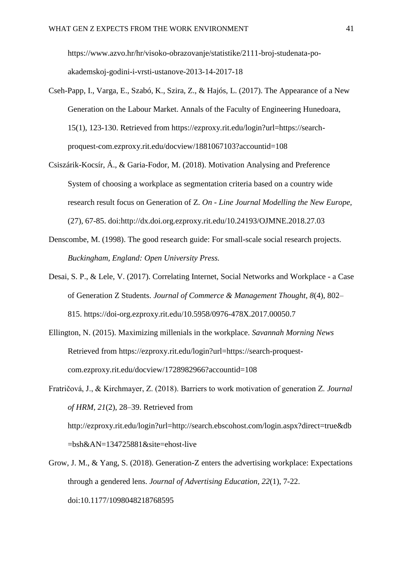https://www.azvo.hr/hr/visoko-obrazovanje/statistike/2111-broj-studenata-poakademskoj-godini-i-vrsti-ustanove-2013-14-2017-18

- Cseh-Papp, I., Varga, E., Szabó, K., Szira, Z., & Hajós, L. (2017). The Appearance of a New Generation on the Labour Market. Annals of the Faculty of Engineering Hunedoara, 15(1), 123-130. Retrieved from https://ezproxy.rit.edu/login?url=https://searchproquest-com.ezproxy.rit.edu/docview/1881067103?accountid=108
- Csiszárik-Kocsír, Á., & Garia-Fodor, M. (2018). Motivation Analysing and Preference System of choosing a workplace as segmentation criteria based on a country wide research result focus on Generation of Z. *On - Line Journal Modelling the New Europe,* (27), 67-85. doi:http://dx.doi.org.ezproxy.rit.edu/10.24193/OJMNE.2018.27.03
- Denscombe, M. (1998). The good research guide: For small-scale social research projects. *Buckingham, England: Open University Press.*
- Desai, S. P., & Lele, V. (2017). Correlating Internet, Social Networks and Workplace a Case of Generation Z Students. *Journal of Commerce & Management Thought, 8*(4), 802– 815. https://doi-org.ezproxy.rit.edu/10.5958/0976-478X.2017.00050.7
- Ellington, N. (2015). Maximizing millenials in the workplace. *Savannah Morning News* Retrieved from https://ezproxy.rit.edu/login?url=https://search-proquestcom.ezproxy.rit.edu/docview/1728982966?accountid=108
- Fratričová, J., & Kirchmayer, Z. (2018). Barriers to work motivation of generation Z. *Journal of HRM, 21*(2), 28–39. Retrieved from http://ezproxy.rit.edu/login?url=http://search.ebscohost.com/login.aspx?direct=true&db =bsh&AN=134725881&site=ehost-live
- Grow, J. M., & Yang, S. (2018). Generation-Z enters the advertising workplace: Expectations through a gendered lens. *Journal of Advertising Education, 22*(1), 7-22. doi:10.1177/1098048218768595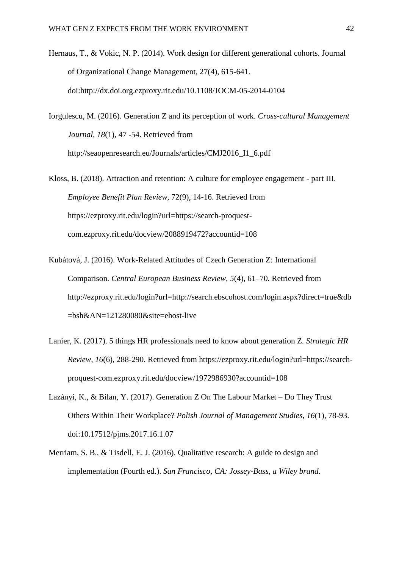Hernaus, T., & Vokic, N. P. (2014). Work design for different generational cohorts. Journal of Organizational Change Management, 27(4), 615-641. doi:http://dx.doi.org.ezproxy.rit.edu/10.1108/JOCM-05-2014-0104

Iorgulescu, M. (2016). Generation Z and its perception of work. *Cross-cultural Management Journal, 18*(1), 47 -54. Retrieved from http://seaopenresearch.eu/Journals/articles/CMJ2016\_I1\_6.pdf

Kloss, B. (2018). Attraction and retention: A culture for employee engagement - part III. *Employee Benefit Plan Review*, 72(9), 14-16. Retrieved from https://ezproxy.rit.edu/login?url=https://search-proquestcom.ezproxy.rit.edu/docview/2088919472?accountid=108

- Kubátová, J. (2016). Work-Related Attitudes of Czech Generation Z: International Comparison. *Central European Business Review, 5*(4), 61–70. Retrieved from http://ezproxy.rit.edu/login?url=http://search.ebscohost.com/login.aspx?direct=true&db =bsh&AN=121280080&site=ehost-live
- Lanier, K. (2017). 5 things HR professionals need to know about generation Z. *Strategic HR Review, 16*(6), 288-290. Retrieved from https://ezproxy.rit.edu/login?url=https://searchproquest-com.ezproxy.rit.edu/docview/1972986930?accountid=108
- Lazányi, K., & Bilan, Y. (2017). Generation Z On The Labour Market Do They Trust Others Within Their Workplace? *Polish Journal of Management Studies, 16*(1), 78-93. doi:10.17512/pjms.2017.16.1.07
- Merriam, S. B., & Tisdell, E. J. (2016). Qualitative research: A guide to design and implementation (Fourth ed.). *San Francisco, CA: Jossey-Bass, a Wiley brand.*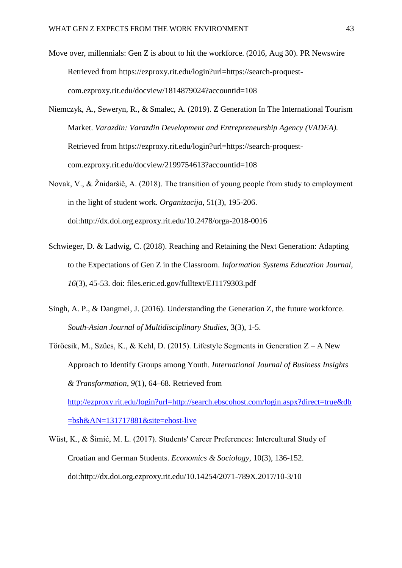- Move over, millennials: Gen Z is about to hit the workforce. (2016, Aug 30). PR Newswire Retrieved from https://ezproxy.rit.edu/login?url=https://search-proquestcom.ezproxy.rit.edu/docview/1814879024?accountid=108
- Niemczyk, A., Seweryn, R., & Smalec, A. (2019). Z Generation In The International Tourism Market. *Varazdin: Varazdin Development and Entrepreneurship Agency (VADEA).* Retrieved from https://ezproxy.rit.edu/login?url=https://search-proquestcom.ezproxy.rit.edu/docview/2199754613?accountid=108
- Novak, V., & Žnidaršič, A. (2018). The transition of young people from study to employment in the light of student work. *Organizacija,* 51(3), 195-206. doi:http://dx.doi.org.ezproxy.rit.edu/10.2478/orga-2018-0016
- Schwieger, D. & Ladwig, C. (2018). Reaching and Retaining the Next Generation: Adapting to the Expectations of Gen Z in the Classroom. *Information Systems Education Journal, 16*(3), 45-53. doi: files.eric.ed.gov/fulltext/EJ1179303.pdf
- Singh, A. P., & Dangmei, J. (2016). Understanding the Generation Z, the future workforce. *South-Asian Journal of Multidisciplinary Studies*, 3(3), 1-5.
- Törőcsik, M., Szűcs, K., & Kehl, D. (2015). Lifestyle Segments in Generation Z A New Approach to Identify Groups among Youth. *International Journal of Business Insights & Transformation, 9*(1), 64–68. Retrieved from [http://ezproxy.rit.edu/login?url=http://search.ebscohost.com/login.aspx?direct=true&db](http://ezproxy.rit.edu/login?url=http://search.ebscohost.com/login.aspx?direct=true&db=bsh&AN=131717881&site=ehost-live) [=bsh&AN=131717881&site=ehost-live](http://ezproxy.rit.edu/login?url=http://search.ebscohost.com/login.aspx?direct=true&db=bsh&AN=131717881&site=ehost-live)
- Wüst, K., & Šimić, M. L. (2017). Students' Career Preferences: Intercultural Study of Croatian and German Students. *Economics & Sociology*, 10(3), 136-152. doi:http://dx.doi.org.ezproxy.rit.edu/10.14254/2071-789X.2017/10-3/10